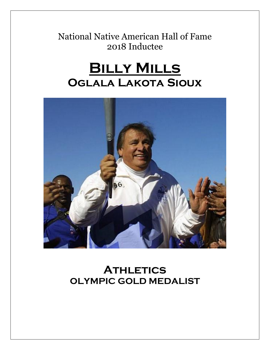National Native American Hall of Fame 2018 Inductee

# **Billy Mills Oglala Lakota Sioux**



## **ATHLETICS OLYMPIC GOLD MEDALIST**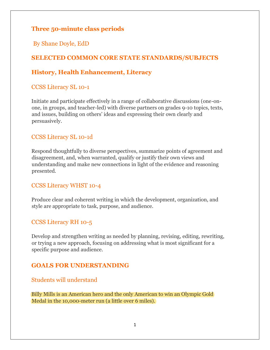## **Three 50-minute class periods**

By Shane Doyle, EdD

## **SELECTED COMMON CORE STATE STANDARDS/SUBJECTS**

## **History, Health Enhancement, Literacy**

### CCSS Literacy SL 10-1

Initiate and participate effectively in a range of collaborative discussions (one-onone, in groups, and teacher-led) with diverse partners on grades 9-10 topics, texts, and issues, building on others' ideas and expressing their own clearly and persuasively.

### CCSS Literacy SL 10-1d

Respond thoughtfully to diverse perspectives, summarize points of agreement and disagreement, and, when warranted, qualify or justify their own views and understanding and make new connections in light of the evidence and reasoning presented.

### CCSS Literacy WHST 10-4

Produce clear and coherent writing in which the development, organization, and style are appropriate to task, purpose, and audience.

### CCSS Literacy RH 10-5

Develop and strengthen writing as needed by planning, revising, editing, rewriting, or trying a new approach, focusing on addressing what is most significant for a specific purpose and audience.

## **GOALS FOR UNDERSTANDING**

#### Students will understand

Billy Mills is an American hero and the only American to win an Olympic Gold Medal in the 10,000-meter run (a little over 6 miles).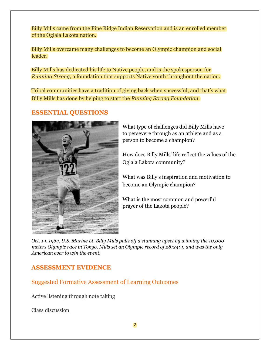Billy Mills came from the Pine Ridge Indian Reservation and is an enrolled member of the Oglala Lakota nation.

Billy Mills overcame many challenges to become an Olympic champion and social leader.

Billy Mills has dedicated his life to Native people, and is the spokesperson for *Running Strong*, a foundation that supports Native youth throughout the nation.

Tribal communities have a tradition of giving back when successful, and that's what Billy Mills has done by helping to start the *Running Strong Foundation*.

### **ESSENTIAL QUESTIONS**



What type of challenges did Billy Mills have to persevere through as an athlete and as a person to become a champion?

How does Billy Mills' life reflect the values of the Oglala Lakota community?

What was Billy's inspiration and motivation to become an Olympic champion?

What is the most common and powerful prayer of the Lakota people?

*Oct. 14, 1964, U.S. Marine Lt. Billy Mills pulls off a stunning upset by winning the 10,000 meters Olympic race in Tokyo. Mills set an Olympic record of 28:24:4, and was the only American ever to win the event.*

### **ASSESSMENT EVIDENCE**

Suggested Formative Assessment of Learning Outcomes

Active listening through note taking

Class discussion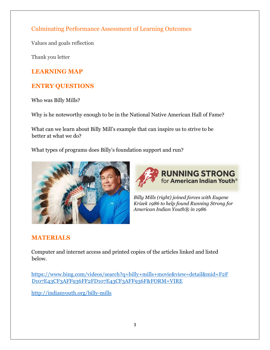Culminating Performance Assessment of Learning Outcomes

Values and goals reflection

Thank you letter

## **LEARNING MAP**

## **ENTRY QUESTIONS**

Who was Billy Mills?

Why is he noteworthy enough to be in the National Native American Hall of Fame?

What can we learn about Billy Mill's example that can inspire us to strive to be better at what we do?

What types of programs does Billy's foundation support and run?





*Billy Mills (right) joined forces with Eugene Krizek 1986 to help found Running Strong for American Indian Youth® in 1986*

## **MATERIALS**

Computer and internet access and printed copies of the articles linked and listed below.

[https://www.bing.com/videos/search?q=billy+mills+movie&view=detail&mid=F2F](https://www.bing.com/videos/search?q=billy+mills+movie&view=detail&mid=F2FD107E43CF3AFF936FF2FD107E43CF3AFF936F&FORM=VIRE) [D107E43CF3AFF936FF2FD107E43CF3AFF936F&FORM=VIRE](https://www.bing.com/videos/search?q=billy+mills+movie&view=detail&mid=F2FD107E43CF3AFF936FF2FD107E43CF3AFF936F&FORM=VIRE)

<http://indianyouth.org/billy-mills>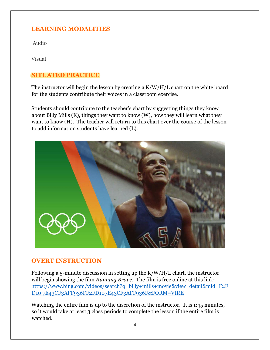## **LEARNING MODALITIES**

Audio

Visual

## **SITUATED PRACTICE**

The instructor will begin the lesson by creating a K/W/H/L chart on the white board for the students contribute their voices in a classroom exercise.

Students should contribute to the teacher's chart by suggesting things they know about Billy Mills (K), things they want to know (W), how they will learn what they want to know (H). The teacher will return to this chart over the course of the lesson to add information students have learned (L).



## **OVERT INSTRUCTION**

Following a 5-minute discussion in setting up the K/W/H/L chart, the instructor will begin showing the film *Running Brave*. The film is free online at this link: [https://www.bing.com/videos/search?q=billy+mills+movie&view=detail&mid=F2F](https://www.bing.com/videos/search?q=billy+mills+movie&view=detail&mid=F2FD107E43CF3AFF936FF2FD107E43CF3AFF936F&FORM=VIRE) [D10 7E43CF3AFF936FF2FD107E43CF3AFF936F&FORM=VIRE](https://www.bing.com/videos/search?q=billy+mills+movie&view=detail&mid=F2FD107E43CF3AFF936FF2FD107E43CF3AFF936F&FORM=VIRE)

Watching the entire film is up to the discretion of the instructor. It is 1:45 minutes, so it would take at least 3 class periods to complete the lesson if the entire film is watched.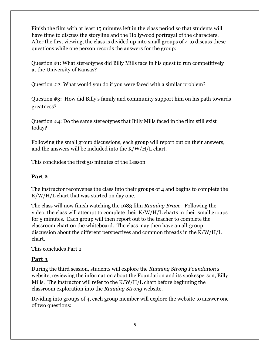Finish the film with at least 15 minutes left in the class period so that students will have time to discuss the storyline and the Hollywood portrayal of the characters. After the first viewing, the class is divided up into small groups of 4 to discuss these questions while one person records the answers for the group:

Question #1: What stereotypes did Billy Mills face in his quest to run competitively at the University of Kansas?

Question #2: What would you do if you were faced with a similar problem?

Question #3: How did Billy's family and community support him on his path towards greatness?

Question #4: Do the same stereotypes that Billy Mills faced in the film still exist today?

Following the small group discussions, each group will report out on their answers, and the answers will be included into the K/W/H/L chart.

This concludes the first 50 minutes of the Lesson

#### **Part 2**

The instructor reconvenes the class into their groups of 4 and begins to complete the K/W/H/L chart that was started on day one.

The class will now finish watching the 1983 film *Running Brave*. Following the video, the class will attempt to complete their K/W/H/L charts in their small groups for 5 minutes. Each group will then report out to the teacher to complete the classroom chart on the whiteboard. The class may then have an all-group discussion about the different perspectives and common threads in the K/W/H/L chart.

This concludes Part 2

### **Part 3**

During the third session, students will explore the *Running Strong Foundation's* website, reviewing the information about the Foundation and its spokesperson, Billy Mills. The instructor will refer to the K/W/H/L chart before beginning the classroom exploration into the *Running Strong* website.

Dividing into groups of 4, each group member will explore the website to answer one of two questions: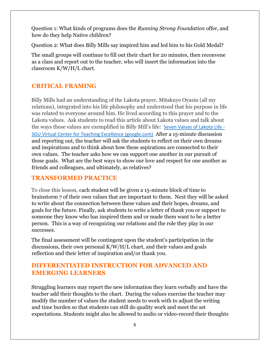Question 1: What kinds of programs does the *Running Strong Foundation* offer, and how do they help Native children?

Question 2: What does Billy Mills say inspired him and led him to his Gold Medal?

The small groups will continue to fill out their chart for 20 minutes, then reconvene as a class and report out to the teacher, who will insert the information into the classroom K/W/H/L chart.

## **CRITICAL FRAMING**

Billy Mills had an understanding of the Lakota prayer, Mitakuye Oyasin (all my relations), integrated into his life philosophy and understood that his purpose in life was related to everyone around him. He lived according to this prayer and to the Lakota values. Ask students to read this article about Lakota values and talk about the ways these values are exemplified in Billy Mill's life: [Seven Values of Lakota Life -](https://sites.google.com/site/sguvcte/seven-values-of-lakota-life) [SGU Virtual Center for Teaching Excellence \(google.com\)](https://sites.google.com/site/sguvcte/seven-values-of-lakota-life) After a 15-minute discussion and reporting out, the teacher will ask the students to reflect on their own dreams and inspirations and to think about how these aspirations are connected to their own values. The teacher asks how we can support one another in our pursuit of those goals. What are the best ways to show our love and respect for one another as friends and colleagues, and ultimately, as relatives?

### **TRANSFORMED PRACTICE**

To close this lesson, each student will be given a 15-minute block of time to brainstorm 7 of their own values that are important to them. Next they will be asked to write about the connection between these values and their hopes, dreams, and goals for the future. Finally, ask students to write a letter of thank you or support to someone they know who has inspired them and or made them want to be a better person. This is a way of recognizing our relations and the role they play in our successes.

The final assessment will be contingent upon the student's participation in the discussions, their own personal K/W/H/L chart, and their values and goals reflection and their letter of inspiration and/or thank you.

## **DIFFERENTIATED INSTRUCTION FOR ADVANCED AND EMERGING LEARNERS**

Struggling learners may report the new information they learn verbally and have the teacher add their thoughts to the chart. During the values exercise the teacher may modify the number of values the student needs to work with to adjust the writing and time burden so that students can still do quality work and meet the set expectations. Students might also be allowed to audio or video-record their thoughts